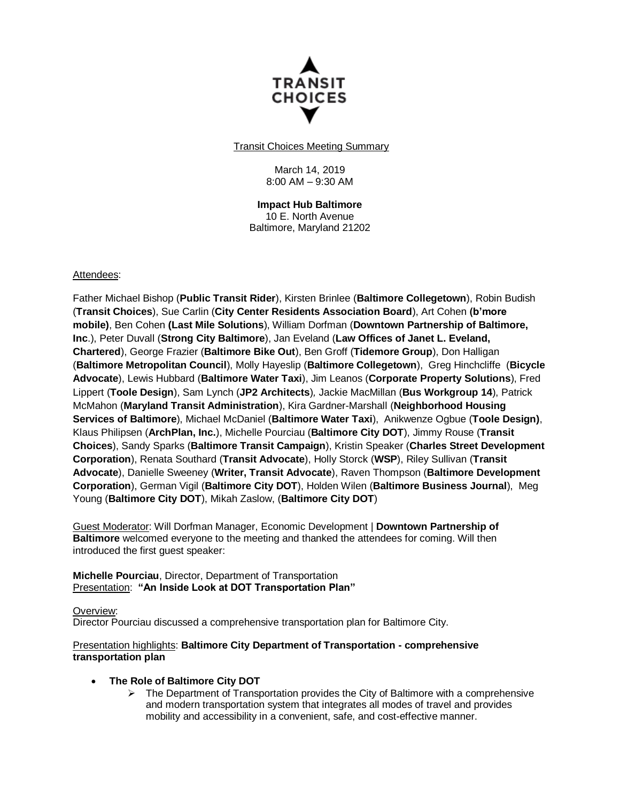

Transit Choices Meeting Summary

March 14, 2019 8:00 AM – 9:30 AM

**Impact Hub Baltimore** 10 E. North Avenue Baltimore, Maryland 21202

### Attendees:

Father Michael Bishop (**Public Transit Rider**), Kirsten Brinlee (**Baltimore Collegetown**), Robin Budish (**Transit Choices**), Sue Carlin (**City Center Residents Association Board**), Art Cohen **(b'more mobile)**, Ben Cohen **(Last Mile Solutions**), William Dorfman (**Downtown Partnership of Baltimore, Inc**.), Peter Duvall (**Strong City Baltimore**), Jan Eveland (**Law Offices of Janet L. Eveland, Chartered**), George Frazier (**Baltimore Bike Out**), Ben Groff (**Tidemore Group**), Don Halligan (**Baltimore Metropolitan Council**), Molly Hayeslip (**Baltimore Collegetown**), Greg Hinchcliffe (**Bicycle Advocate**), Lewis Hubbard (**Baltimore Water Taxi**), Jim Leanos (**Corporate Property Solutions**), Fred Lippert (**Toole Design**), Sam Lynch (**JP2 Architects**)*,* Jackie MacMillan (**Bus Workgroup 14**), Patrick McMahon (**Maryland Transit Administration**), Kira Gardner-Marshall (**Neighborhood Housing Services of Baltimore**), Michael McDaniel (**Baltimore Water Taxi**), Anikwenze Ogbue (**Toole Design)**, Klaus Philipsen (**ArchPlan, Inc.**), Michelle Pourciau (**Baltimore City DOT**), Jimmy Rouse (**Transit Choices**), Sandy Sparks (**Baltimore Transit Campaign**), Kristin Speaker (**Charles Street Development Corporation**), Renata Southard (**Transit Advocate**), Holly Storck (**WSP**), Riley Sullivan (**Transit Advocate**), Danielle Sweeney (**Writer, Transit Advocate**), Raven Thompson (**Baltimore Development Corporation**), German Vigil (**Baltimore City DOT**), Holden Wilen (**Baltimore Business Journal**), Meg Young (**Baltimore City DOT**), Mikah Zaslow, (**Baltimore City DOT**)

Guest Moderator: Will Dorfman Manager, Economic Development | **Downtown Partnership of Baltimore** welcomed everyone to the meeting and thanked the attendees for coming. Will then introduced the first guest speaker:

**Michelle Pourciau**, Director, Department of Transportation Presentation: **"An Inside Look at DOT Transportation Plan"**

### Overview:

Director Pourciau discussed a comprehensive transportation plan for Baltimore City.

### Presentation highlights: **Baltimore City Department of Transportation - comprehensive transportation plan**

### **The Role of Baltimore City DOT**

 $\triangleright$  The Department of Transportation provides the City of Baltimore with a comprehensive and modern transportation system that integrates all modes of travel and provides mobility and accessibility in a convenient, safe, and cost-effective manner.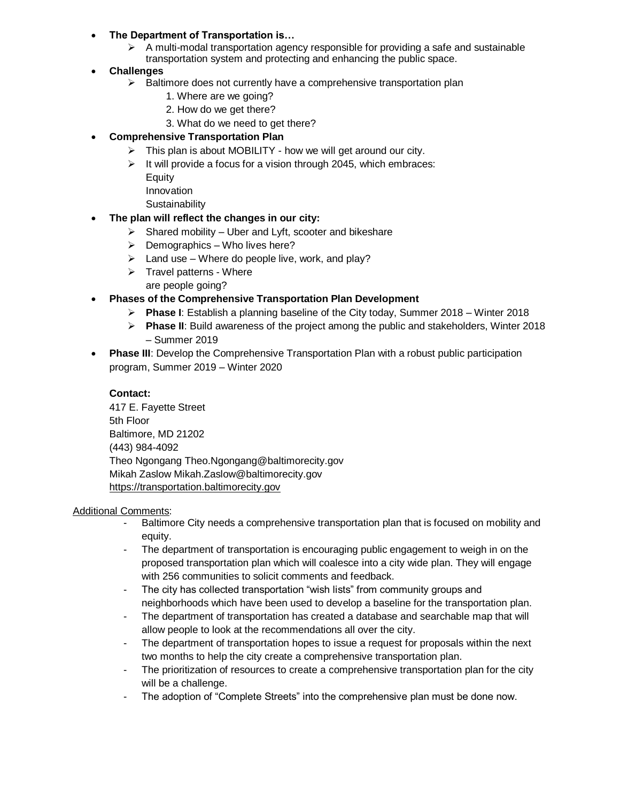- **The Department of Transportation is…**
	- $\triangleright$  A multi-modal transportation agency responsible for providing a safe and sustainable transportation system and protecting and enhancing the public space.
- **Challenges**
	- $\triangleright$  Baltimore does not currently have a comprehensive transportation plan
		- 1. Where are we going?
		- 2. How do we get there?
		- 3. What do we need to get there?
- **Comprehensive Transportation Plan**
	- $\triangleright$  This plan is about MOBILITY how we will get around our city.
	- $\triangleright$  It will provide a focus for a vision through 2045, which embraces:
		- Equity Innovation
		-
		- **Sustainability**
- **The plan will reflect the changes in our city:**
	- $\triangleright$  Shared mobility Uber and Lyft, scooter and bikeshare
	- $\triangleright$  Demographics Who lives here?
	- $\triangleright$  Land use Where do people live, work, and play?
	- $\triangleright$  Travel patterns Where are people going?
- **Phases of the Comprehensive Transportation Plan Development**
	- **Phase I**: Establish a planning baseline of the City today, Summer 2018 Winter 2018
	- **Phase II**: Build awareness of the project among the public and stakeholders, Winter 2018 – Summer 2019
- **Phase III:** Develop the Comprehensive Transportation Plan with a robust public participation program, Summer 2019 – Winter 2020

# **Contact:**

417 E. Fayette Street 5th Floor Baltimore, MD 21202 (443) 984-4092 Theo Ngongang Theo.Ngongang@baltimorecity.gov Mikah Zaslow Mikah.Zaslow@baltimorecity.gov [https://transportation.baltimorecity.gov](https://transportation.baltimorecity.gov/)

## Additional Comments:

- Baltimore City needs a comprehensive transportation plan that is focused on mobility and equity.
- The department of transportation is encouraging public engagement to weigh in on the proposed transportation plan which will coalesce into a city wide plan. They will engage with 256 communities to solicit comments and feedback.
- The city has collected transportation "wish lists" from community groups and neighborhoods which have been used to develop a baseline for the transportation plan.
- The department of transportation has created a database and searchable map that will allow people to look at the recommendations all over the city.
- The department of transportation hopes to issue a request for proposals within the next two months to help the city create a comprehensive transportation plan.
- The prioritization of resources to create a comprehensive transportation plan for the city will be a challenge.
- The adoption of "Complete Streets" into the comprehensive plan must be done now.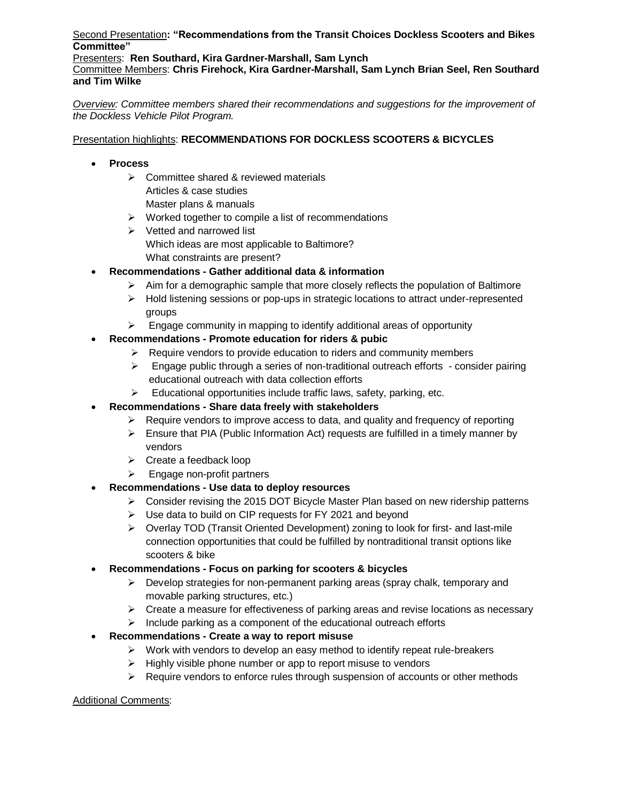Second Presentation**: "Recommendations from the Transit Choices Dockless Scooters and Bikes Committee"**

Presenters: **Ren Southard, Kira Gardner-Marshall, Sam Lynch**

Committee Members: **Chris Firehock, Kira Gardner-Marshall, Sam Lynch Brian Seel, Ren Southard and Tim Wilke**

*Overview: Committee members shared their recommendations and suggestions for the improvement of the Dockless Vehicle Pilot Program.*

## Presentation highlights: **RECOMMENDATIONS FOR DOCKLESS SCOOTERS & BICYCLES**

- **Process**
	- $\triangleright$  Committee shared & reviewed materials Articles & case studies Master plans & manuals
	- $\triangleright$  Worked together to compile a list of recommendations
	- $\triangleright$  Vetted and narrowed list Which ideas are most applicable to Baltimore? What constraints are present?
- **Recommendations - Gather additional data & information** 
	- $\triangleright$  Aim for a demographic sample that more closely reflects the population of Baltimore
	- $\triangleright$  Hold listening sessions or pop-ups in strategic locations to attract under-represented groups
	- $\triangleright$  Engage community in mapping to identify additional areas of opportunity
- **Recommendations - Promote education for riders & pubic** 
	- $\triangleright$  Require vendors to provide education to riders and community members
	- $\triangleright$  Engage public through a series of non-traditional outreach efforts consider pairing educational outreach with data collection efforts
	- $\triangleright$  Educational opportunities include traffic laws, safety, parking, etc.
- **Recommendations - Share data freely with stakeholders**
	- $\triangleright$  Require vendors to improve access to data, and quality and frequency of reporting
	- $\triangleright$  Ensure that PIA (Public Information Act) requests are fulfilled in a timely manner by vendors
	- $\triangleright$  Create a feedback loop
	- $\triangleright$  Engage non-profit partners
- **Recommendations - Use data to deploy resources**
	- Consider revising the 2015 DOT Bicycle Master Plan based on new ridership patterns
	- Use data to build on CIP requests for FY 2021 and beyond
	- $\triangleright$  Overlay TOD (Transit Oriented Development) zoning to look for first- and last-mile connection opportunities that could be fulfilled by nontraditional transit options like scooters & bike
- **Recommendations - Focus on parking for scooters & bicycles**
	- $\triangleright$  Develop strategies for non-permanent parking areas (spray chalk, temporary and movable parking structures, etc.)
	- $\triangleright$  Create a measure for effectiveness of parking areas and revise locations as necessary
	- $\triangleright$  Include parking as a component of the educational outreach efforts
- **Recommendations - Create a way to report misuse**
	- $\triangleright$  Work with vendors to develop an easy method to identify repeat rule-breakers
	- $\triangleright$  Highly visible phone number or app to report misuse to vendors
	- $\triangleright$  Require vendors to enforce rules through suspension of accounts or other methods

### Additional Comments: